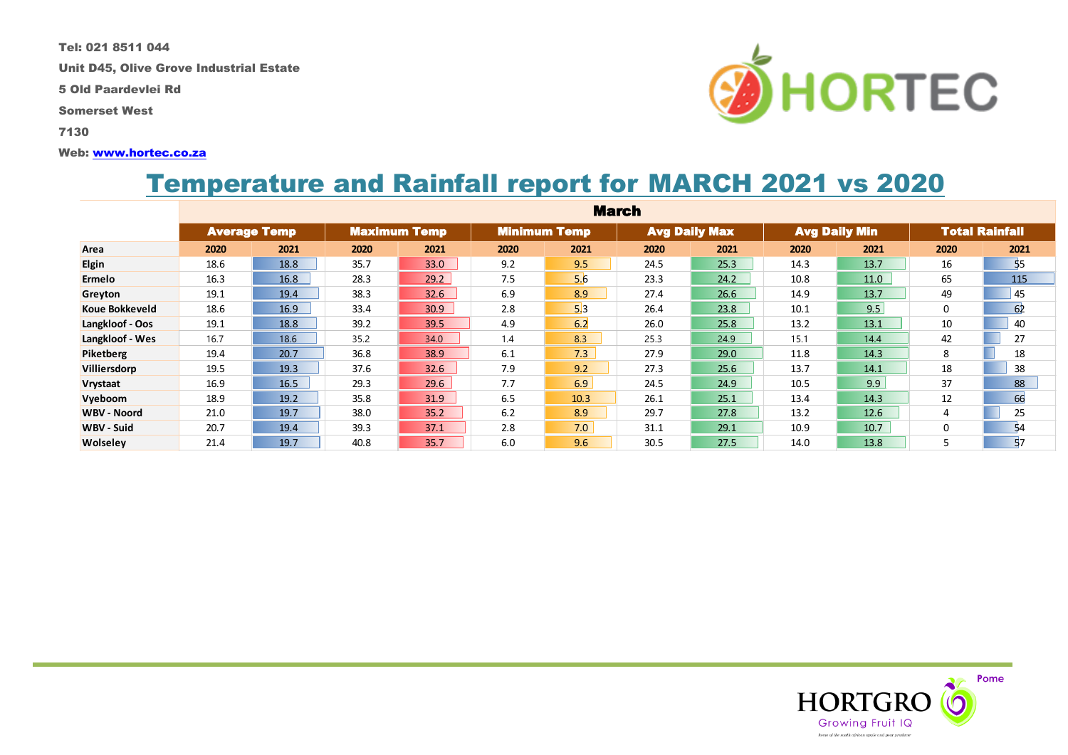Tel: 021 8511 044

Unit D45, Olive Grove Industrial Estate

5 Old Paardevlei Rd

Somerset West

7130

#### Web: [www.hortec.co.za](http://www.hortec.co.za/)

# Temperature and Rainfall report for MARCH 2021 vs 2020

|                    | <b>March</b>        |      |                     |      |                     |      |                      |      |                      |      |                       |      |
|--------------------|---------------------|------|---------------------|------|---------------------|------|----------------------|------|----------------------|------|-----------------------|------|
|                    | <b>Average Temp</b> |      | <b>Maximum Temp</b> |      | <b>Minimum Temp</b> |      | <b>Avg Daily Max</b> |      | <b>Avg Daily Min</b> |      | <b>Total Rainfall</b> |      |
| Area               | 2020                | 2021 | 2020                | 2021 | 2020                | 2021 | 2020                 | 2021 | 2020                 | 2021 | 2020                  | 2021 |
| <b>Elgin</b>       | 18.6                | 18.8 | 35.7                | 33.0 | 9.2                 | 9.5  | 24.5                 | 25.3 | 14.3                 | 13.7 | 16                    | 55   |
| Ermelo             | 16.3                | 16.8 | 28.3                | 29.2 | 7.5                 | 5.6  | 23.3                 | 24.2 | 10.8                 | 11.0 | 65                    | 115  |
| Greyton            | 19.1                | 19.4 | 38.3                | 32.6 | 6.9                 | 8.9  | 27.4                 | 26.6 | 14.9                 | 13.7 | 49                    | 45   |
| Koue Bokkeveld     | 18.6                | 16.9 | 33.4                | 30.9 | 2.8                 | 5.3  | 26.4                 | 23.8 | 10.1                 | 9.5  | 0                     | 62   |
| Langkloof - Oos    | 19.1                | 18.8 | 39.2                | 39.5 | 4.9                 | 6.2  | 26.0                 | 25.8 | 13.2                 | 13.1 | 10                    | 40   |
| Langkloof - Wes    | 16.7                | 18.6 | 35.2                | 34.0 | 1.4                 | 8.3  | 25.3                 | 24.9 | 15.1                 | 14.4 | 42                    | 27   |
| Piketberg          | 19.4                | 20.7 | 36.8                | 38.9 | 6.1                 | 7.3  | 27.9                 | 29.0 | 11.8                 | 14.3 | 8                     | 18   |
| Villiersdorp       | 19.5                | 19.3 | 37.6                | 32.6 | 7.9                 | 9.2  | 27.3                 | 25.6 | 13.7                 | 14.1 | 18                    | 38   |
| Vrystaat           | 16.9                | 16.5 | 29.3                | 29.6 | 7.7                 | 6.9  | 24.5                 | 24.9 | 10.5                 | 9.9  | 37                    | 88   |
| Vyeboom            | 18.9                | 19.2 | 35.8                | 31.9 | 6.5                 | 10.3 | 26.1                 | 25.1 | 13.4                 | 14.3 | 12                    | 66   |
| <b>WBV - Noord</b> | 21.0                | 19.7 | 38.0                | 35.2 | 6.2                 | 8.9  | 29.7                 | 27.8 | 13.2                 | 12.6 | 4                     | 25   |
| WBV - Suid         | 20.7                | 19.4 | 39.3                | 37.1 | 2.8                 | 7.0  | 31.1                 | 29.1 | 10.9                 | 10.7 | 0                     | 54   |
| <b>Wolseley</b>    | 21.4                | 19.7 | 40.8                | 35.7 | 6.0                 | 9.6  | 30.5                 | 27.5 | 14.0                 | 13.8 | 5                     | 57   |



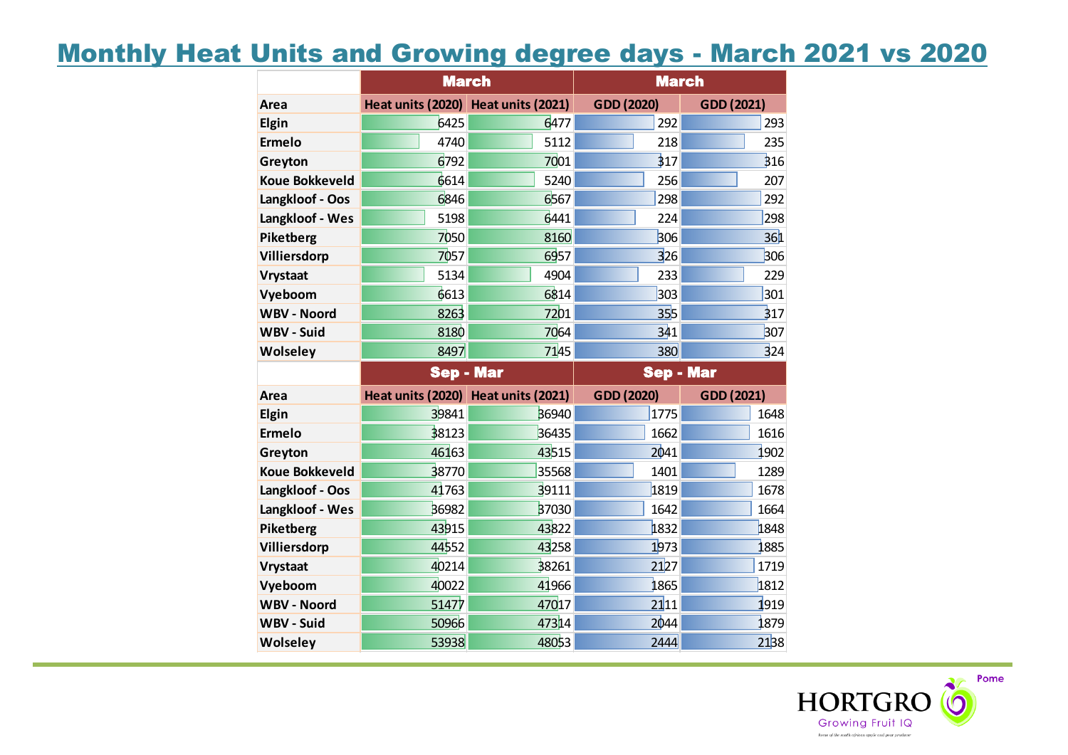## Monthly Heat Units and Growing degree days - March 2021 vs 2020

|                       | <b>March</b>                        |       | <b>March</b>     |              |  |  |
|-----------------------|-------------------------------------|-------|------------------|--------------|--|--|
| Area                  | Heat units (2020) Heat units (2021) |       | GDD (2020)       | GDD (2021)   |  |  |
| Elgin                 | 6425                                | 6477  | 292              | 293          |  |  |
| <b>Ermelo</b>         | 4740                                | 5112  | 218              | 235          |  |  |
| Greyton               | 6792                                | 7001  | 317              | 316          |  |  |
| <b>Koue Bokkeveld</b> | 6614                                | 5240  | 256              | 207          |  |  |
| Langkloof - Oos       | 6846                                | 6567  | 298              | 292          |  |  |
| Langkloof - Wes       | 5198                                | 6441  | 224              | 298          |  |  |
| Piketberg             | 7050                                | 8160  | 306              | 361          |  |  |
| Villiersdorp          | 7057                                | 6957  | 326              | 306          |  |  |
| <b>Vrystaat</b>       | 5134                                | 4904  | 233              | 229          |  |  |
| Vyeboom               | 6613                                | 6814  | 303              | 301          |  |  |
| <b>WBV - Noord</b>    | 8263                                | 7201  | 355              | 317          |  |  |
| WBV - Suid            | 8180                                | 7064  | 341              | 307          |  |  |
| <b>Wolseley</b>       | 8497                                | 7145  | 380              | 324          |  |  |
|                       |                                     |       |                  |              |  |  |
|                       | <b>Sep - Mar</b>                    |       | <b>Sep - Mar</b> |              |  |  |
| Area                  | Heat units (2020) Heat units (2021) |       | GDD (2020)       | GDD (2021)   |  |  |
| Elgin                 | 39841                               | 36940 | 1775             | 1648         |  |  |
| <b>Ermelo</b>         | 38123                               | 36435 | 1662             | 1616         |  |  |
| Greyton               | 46163                               | 43515 | 2041             | 1902         |  |  |
| <b>Koue Bokkeveld</b> | 38770                               | 35568 | 1401             | 1289         |  |  |
| Langkloof - Oos       | 41763                               | 39111 | 1819             | 1678         |  |  |
| Langkloof - Wes       | 36982                               | 37030 | 1642             | 1664         |  |  |
| Piketberg             | 43915                               | 43822 | 1832             | 1848         |  |  |
| Villiersdorp          | 44552                               | 43258 | 1973             | 1885         |  |  |
| <b>Vrystaat</b>       | 40214                               | 38261 | 2127             | 1719         |  |  |
| Vyeboom               | 40022                               | 41966 | 1865             | 1812         |  |  |
| <b>WBV - Noord</b>    | 51477                               | 47017 | 2111             | 1919         |  |  |
| <b>WBV - Suid</b>     | 50966                               | 47314 | 2044             | 1879<br>2138 |  |  |

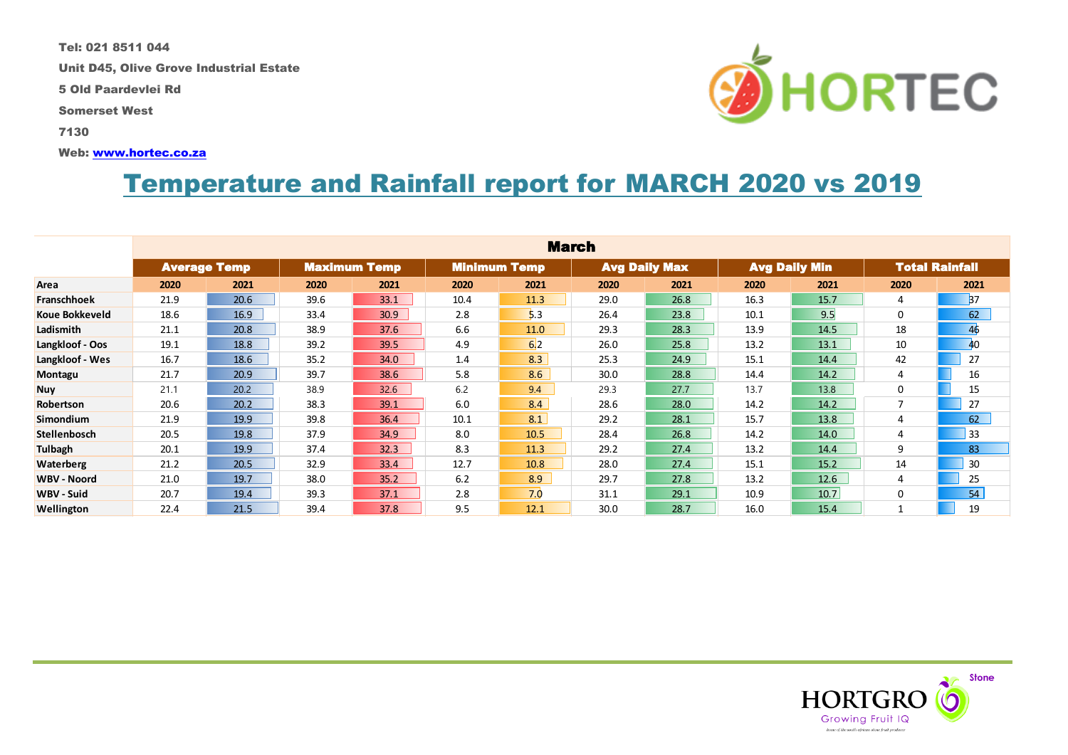Tel: 021 8511 044

Unit D45, Olive Grove Industrial Estate

5 Old Paardevlei Rd

Somerset West

7130

Web: [www.hortec.co.za](http://www.hortec.co.za/)

# Temperature and Rainfall report for MARCH 2020 vs 2019

|                       | <b>March</b> |                                            |      |      |      |                     |      |                      |      |                      |                |                       |  |
|-----------------------|--------------|--------------------------------------------|------|------|------|---------------------|------|----------------------|------|----------------------|----------------|-----------------------|--|
|                       |              | <b>Average Temp</b><br><b>Maximum Temp</b> |      |      |      | <b>Minimum Temp</b> |      | <b>Avg Daily Max</b> |      | <b>Avg Daily Min</b> |                | <b>Total Rainfall</b> |  |
| Area                  | 2020         | 2021                                       | 2020 | 2021 | 2020 | 2021                | 2020 | 2021                 | 2020 | 2021                 | 2020           | 2021                  |  |
| Franschhoek           | 21.9         | 20.6                                       | 39.6 | 33.1 | 10.4 | 11.3                | 29.0 | 26.8                 | 16.3 | 15.7                 | 4              | <b>B7</b>             |  |
| <b>Koue Bokkeveld</b> | 18.6         | 16.9                                       | 33.4 | 30.9 | 2.8  | 5.3                 | 26.4 | 23.8                 | 10.1 | 9.5                  | 0              | 62                    |  |
| Ladismith             | 21.1         | 20.8                                       | 38.9 | 37.6 | 6.6  | 11.0                | 29.3 | 28.3                 | 13.9 | 14.5                 | 18             | 46                    |  |
| Langkloof - Oos       | 19.1         | 18.8                                       | 39.2 | 39.5 | 4.9  | 6 <sub>2</sub>      | 26.0 | 25.8                 | 13.2 | 13.1                 | 10             | 40                    |  |
| Langkloof - Wes       | 16.7         | 18.6                                       | 35.2 | 34.0 | 1.4  | 8.3                 | 25.3 | 24.9                 | 15.1 | 14.4                 | 42             | 27                    |  |
| Montagu               | 21.7         | 20.9                                       | 39.7 | 38.6 | 5.8  | 8.6                 | 30.0 | 28.8                 | 14.4 | 14.2                 | 4              | 16                    |  |
| <b>Nuy</b>            | 21.1         | 20.2                                       | 38.9 | 32.6 | 6.2  | 9.4                 | 29.3 | 27.7                 | 13.7 | 13.8                 | 0              | 15                    |  |
| Robertson             | 20.6         | 20.2                                       | 38.3 | 39.1 | 6.0  | 8.4                 | 28.6 | 28.0                 | 14.2 | 14.2                 | $\overline{7}$ | 27                    |  |
| Simondium             | 21.9         | 19.9                                       | 39.8 | 36.4 | 10.1 | 8.1                 | 29.2 | 28.1                 | 15.7 | 13.8                 | 4              | 62                    |  |
| Stellenbosch          | 20.5         | 19.8                                       | 37.9 | 34.9 | 8.0  | 10.5                | 28.4 | 26.8                 | 14.2 | 14.0                 | 4              | 33                    |  |
| <b>Tulbagh</b>        | 20.1         | 19.9                                       | 37.4 | 32.3 | 8.3  | 11.3                | 29.2 | 27.4                 | 13.2 | 14.4                 | 9              | 83                    |  |
| <b>Waterberg</b>      | 21.2         | 20.5                                       | 32.9 | 33.4 | 12.7 | 10.8                | 28.0 | 27.4                 | 15.1 | 15.2                 | 14             | 30                    |  |
| <b>WBV - Noord</b>    | 21.0         | 19.7                                       | 38.0 | 35.2 | 6.2  | 8.9                 | 29.7 | 27.8                 | 13.2 | 12.6                 | 4              | 25                    |  |
| <b>WBV - Suid</b>     | 20.7         | 19.4                                       | 39.3 | 37.1 | 2.8  | 7.0                 | 31.1 | 29.1                 | 10.9 | 10.7                 | 0              | 54                    |  |
| Wellington            | 22.4         | 21.5                                       | 39.4 | 37.8 | 9.5  | 12.1                | 30.0 | 28.7                 | 16.0 | 15.4                 | 1              | 19                    |  |



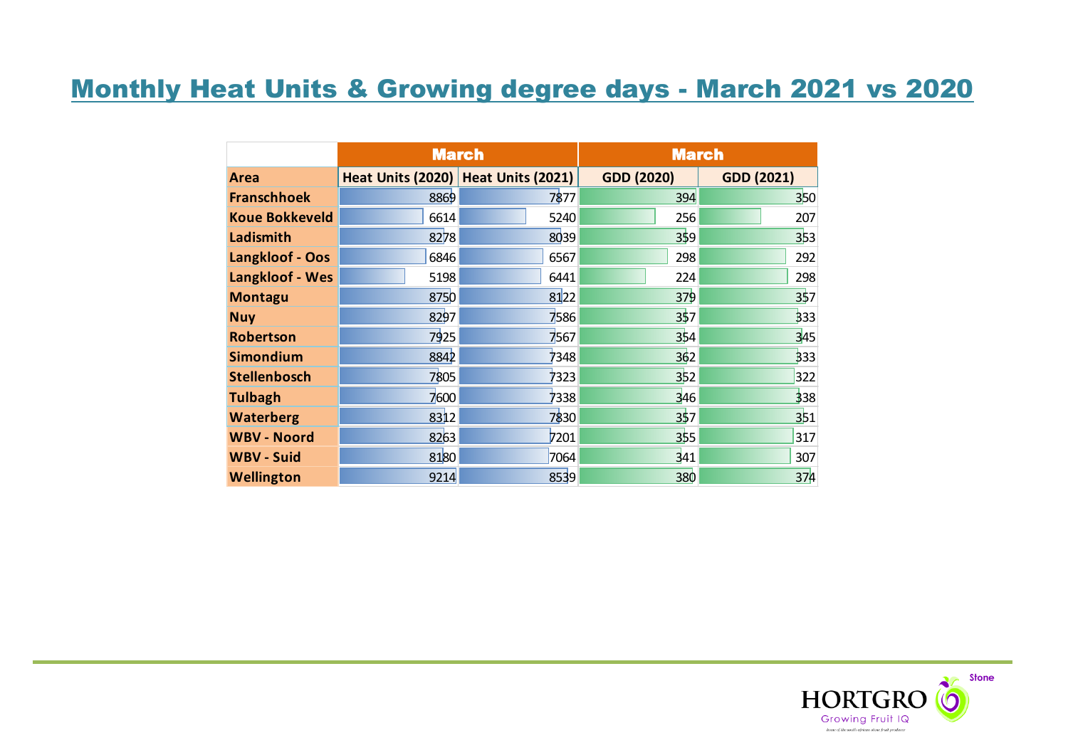# Monthly Heat Units & Growing degree days - March 2021 vs 2020

|                        |                                     | <b>March</b> | <b>March</b>      |                   |  |  |
|------------------------|-------------------------------------|--------------|-------------------|-------------------|--|--|
| Area                   | Heat Units (2020) Heat Units (2021) |              | <b>GDD (2020)</b> | <b>GDD (2021)</b> |  |  |
| <b>Franschhoek</b>     | 8869                                | 7877         | 394               | 350               |  |  |
| <b>Koue Bokkeveld</b>  | 6614                                | 5240         | 256               | 207               |  |  |
| Ladismith              | 8278                                | 8039         | 359               | 353               |  |  |
| Langkloof - Oos        | 6846                                | 6567         | 298               | 292               |  |  |
| <b>Langkloof - Wes</b> | 5198                                | 6441         | 224               | 298               |  |  |
| <b>Montagu</b>         | 8750                                | 8122         | 379               | 357               |  |  |
| <b>Nuy</b>             | 8297                                | 7586         | 357               | 333               |  |  |
| <b>Robertson</b>       | 7925                                | 7567         | 354               | 345               |  |  |
| <b>Simondium</b>       | 8842                                | 7348         | 362               | 333               |  |  |
| <b>Stellenbosch</b>    | 7805                                | 7323         | 352               | 322               |  |  |
| <b>Tulbagh</b>         | 7600                                | 7338         | 346               | 338               |  |  |
| <b>Waterberg</b>       | 8312                                | 7830         | 357               | 351               |  |  |
| <b>WBV - Noord</b>     | 8263                                | 7201         | 355               | 317               |  |  |
| <b>WBV - Suid</b>      | 8180                                | 7064         | 341               | 307               |  |  |
| <b>Wellington</b>      | 9214                                | 8539         | 380               | 374               |  |  |